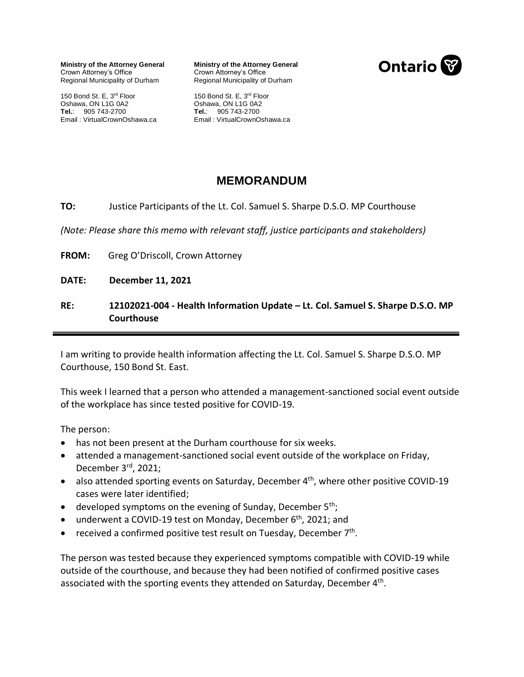**Ministry of the Attorney General** Crown Attorney's Office Regional Municipality of Durham

150 Bond St. E, 3rd Floor Oshawa, ON L1G 0A2 **Tel.**: 905 743-2700 Email : VirtualCrownOshawa.ca

**Ministry of the Attorney General** Regional Municipality of Durham Crown Attorney's Office



Oshawa, ON L1G 0A2 **Tel.**: 905 743-2700 Email : VirtualCrownOshawa.ca 150 Bond St. E, 3rd Floor

## **MEMORANDUM**

## **TO:** Justice Participants of the Lt. Col. Samuel S. Sharpe D.S.O. MP Courthouse

*(Note: Please share this memo with relevant staff, justice participants and stakeholders)*

**FROM:** Greg O'Driscoll, Crown Attorney

**DATE: December 11, 2021**

## **RE: 12102021-004 - Health Information Update – Lt. Col. Samuel S. Sharpe D.S.O. MP Courthouse**

I am writing to provide health information affecting the Lt. Col. Samuel S. Sharpe D.S.O. MP Courthouse, 150 Bond St. East.

This week I learned that a person who attended a management-sanctioned social event outside of the workplace has since tested positive for COVID-19.

The person:

- has not been present at the Durham courthouse for six weeks.
- attended a management-sanctioned social event outside of the workplace on Friday, December 3<sup>rd</sup>, 2021;
- also attended sporting events on Saturday, December 4<sup>th</sup>, where other positive COVID-19 cases were later identified;
- developed symptoms on the evening of Sunday, December  $5<sup>th</sup>$ ;
- underwent a COVID-19 test on Monday, December 6<sup>th</sup>, 2021; and
- received a confirmed positive test result on Tuesday, December 7<sup>th</sup>.

The person was tested because they experienced symptoms compatible with COVID-19 while outside of the courthouse, and because they had been notified of confirmed positive cases associated with the sporting events they attended on Saturday, December 4<sup>th</sup>.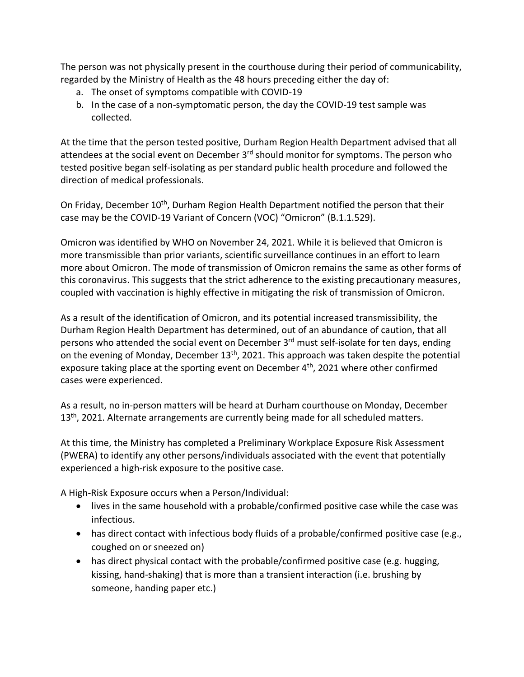The person was not physically present in the courthouse during their period of communicability, regarded by the Ministry of Health as the 48 hours preceding either the day of:

- a. The onset of symptoms compatible with COVID-19
- b. In the case of a non-symptomatic person, the day the COVID-19 test sample was collected.

At the time that the person tested positive, Durham Region Health Department advised that all attendees at the social event on December 3<sup>rd</sup> should monitor for symptoms. The person who tested positive began self-isolating as per standard public health procedure and followed the direction of medical professionals.

On Friday, December 10<sup>th</sup>, Durham Region Health Department notified the person that their case may be the COVID-19 Variant of Concern (VOC) "Omicron" (B.1.1.529).

Omicron was identified by WHO on November 24, 2021. While it is believed that Omicron is more transmissible than prior variants, scientific surveillance continues in an effort to learn more about Omicron. The mode of transmission of Omicron remains the same as other forms of this coronavirus. This suggests that the strict adherence to the existing precautionary measures, coupled with vaccination is highly effective in mitigating the risk of transmission of Omicron.

As a result of the identification of Omicron, and its potential increased transmissibility, the Durham Region Health Department has determined, out of an abundance of caution, that all persons who attended the social event on December 3<sup>rd</sup> must self-isolate for ten days, ending on the evening of Monday, December 13<sup>th</sup>, 2021. This approach was taken despite the potential exposure taking place at the sporting event on December 4<sup>th</sup>, 2021 where other confirmed cases were experienced.

As a result, no in-person matters will be heard at Durham courthouse on Monday, December 13<sup>th</sup>, 2021. Alternate arrangements are currently being made for all scheduled matters.

At this time, the Ministry has completed a Preliminary Workplace Exposure Risk Assessment (PWERA) to identify any other persons/individuals associated with the event that potentially experienced a high-risk exposure to the positive case.

A High-Risk Exposure occurs when a Person/Individual:

- lives in the same household with a probable/confirmed positive case while the case was infectious.
- has direct contact with infectious body fluids of a probable/confirmed positive case (e.g., coughed on or sneezed on)
- has direct physical contact with the probable/confirmed positive case (e.g. hugging, kissing, hand-shaking) that is more than a transient interaction (i.e. brushing by someone, handing paper etc.)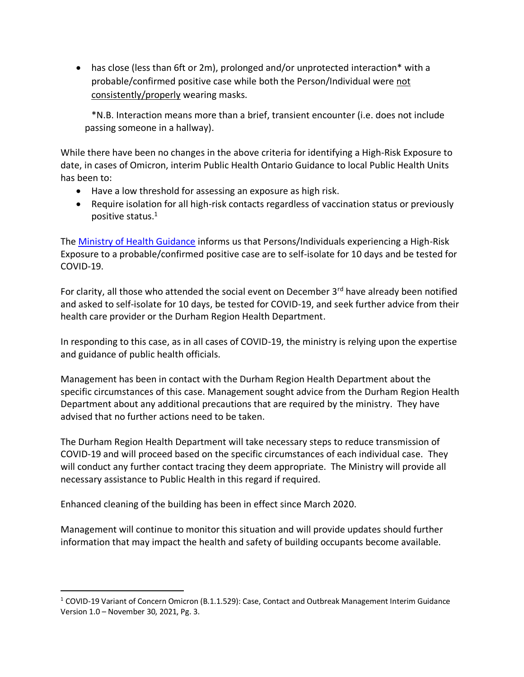• has close (less than 6ft or 2m), prolonged and/or unprotected interaction\* with a probable/confirmed positive case while both the Person/Individual were not consistently/properly wearing masks.

\*N.B. Interaction means more than a brief, transient encounter (i.e. does not include passing someone in a hallway).

While there have been no changes in the above criteria for identifying a High-Risk Exposure to date, in cases of Omicron, interim Public Health Ontario Guidance to local Public Health Units has been to:

- Have a low threshold for assessing an exposure as high risk.
- Require isolation for all high-risk contacts regardless of vaccination status or previously positive status.<sup>1</sup>

The [Ministry of Health Guidance](http://www.health.gov.on.ca/en/pro/programs/publichealth/coronavirus/docs/contact_mngmt/management_cases_contacts.pdf) informs us that Persons/Individuals experiencing a High-Risk Exposure to a probable/confirmed positive case are to self-isolate for 10 days and be tested for COVID-19.

For clarity, all those who attended the social event on December 3<sup>rd</sup> have already been notified and asked to self-isolate for 10 days, be tested for COVID-19, and seek further advice from their health care provider or the Durham Region Health Department.

In responding to this case, as in all cases of COVID-19, the ministry is relying upon the expertise and guidance of public health officials.

Management has been in contact with the Durham Region Health Department about the specific circumstances of this case. Management sought advice from the Durham Region Health Department about any additional precautions that are required by the ministry. They have advised that no further actions need to be taken.

The Durham Region Health Department will take necessary steps to reduce transmission of COVID-19 and will proceed based on the specific circumstances of each individual case. They will conduct any further contact tracing they deem appropriate. The Ministry will provide all necessary assistance to Public Health in this regard if required.

Enhanced cleaning of the building has been in effect since March 2020.

Management will continue to monitor this situation and will provide updates should further information that may impact the health and safety of building occupants become available.

<sup>&</sup>lt;sup>1</sup> COVID-19 Variant of Concern Omicron (B.1.1.529): Case, Contact and Outbreak Management Interim Guidance Version 1.0 – November 30, 2021, Pg. 3.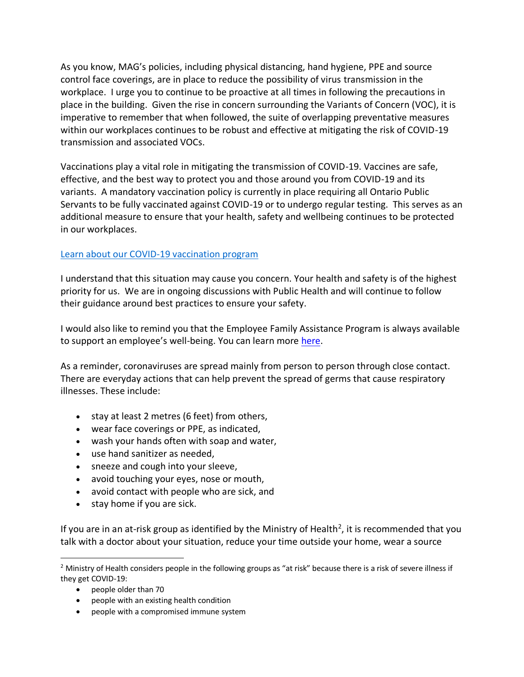As you know, MAG's policies, including physical distancing, hand hygiene, PPE and source control face coverings, are in place to reduce the possibility of virus transmission in the workplace. I urge you to continue to be proactive at all times in following the precautions in place in the building. Given the rise in concern surrounding the Variants of Concern (VOC), it is imperative to remember that when followed, the suite of overlapping preventative measures within our workplaces continues to be robust and effective at mitigating the risk of COVID-19 transmission and associated VOCs.

Vaccinations play a vital role in mitigating the transmission of COVID-19. Vaccines are safe, effective, and the best way to protect you and those around you from COVID-19 and its variants. A mandatory vaccination policy is currently in place requiring all Ontario Public Servants to be fully vaccinated against COVID-19 or to undergo regular testing. This serves as an additional measure to ensure that your health, safety and wellbeing continues to be protected in our workplaces.

## [Learn about our COVID-19 vaccination program](https://covid-19.ontario.ca/covid-19-vaccines-ontario)

I understand that this situation may cause you concern. Your health and safety is of the highest priority for us. We are in ongoing discussions with Public Health and will continue to follow their guidance around best practices to ensure your safety.

I would also like to remind you that the Employee Family Assistance Program is always available to support an employee's well-being. You can learn more [here.](https://intra.ontario.ca/ops/efap)

As a reminder, coronaviruses are spread mainly from person to person through close contact. There are everyday actions that can help prevent the spread of germs that cause respiratory illnesses. These include:

- stay at least 2 metres (6 feet) from others,
- wear face coverings or PPE, as indicated,
- wash your hands often with soap and water,
- use hand sanitizer as needed,
- sneeze and cough into your sleeve,
- avoid touching your eyes, nose or mouth,
- avoid contact with people who are sick, and
- stay home if you are sick.

If you are in an at-risk group as identified by the Ministry of Health<sup>2</sup>, it is recommended that you talk with a doctor about your situation, reduce your time outside your home, wear a source

<sup>&</sup>lt;sup>2</sup> Ministry of Health considers people in the following groups as "at risk" because there is a risk of severe illness if they get COVID-19:

<sup>•</sup> people older than 70

<sup>•</sup> people with an existing health condition

<sup>•</sup> people with a compromised immune system